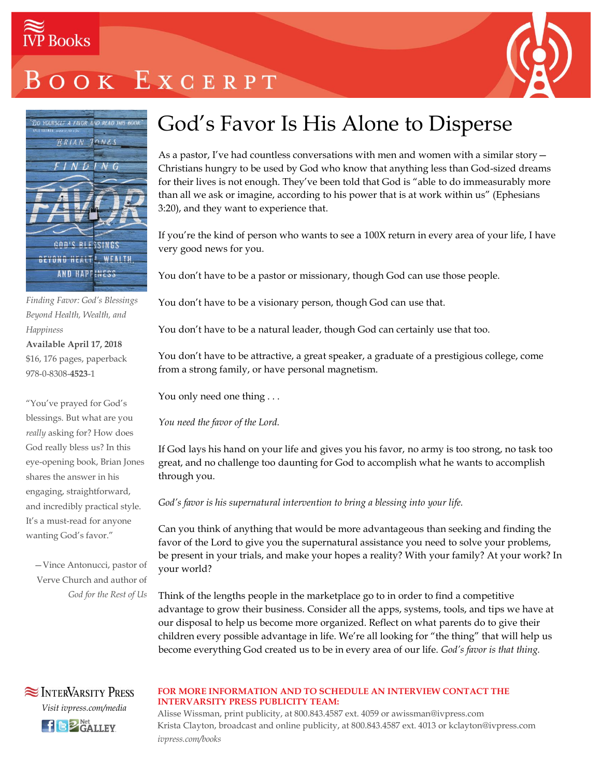

### OK EXCERPT



*Finding Favor: God's Blessings Beyond Health, Wealth, and Happiness*

**Available April 17, 2018** \$16, 176 pages, paperback 978-0-8308-**4523**-1

"You've prayed for God's blessings. But what are you *really* asking for? How does God really bless us? In this eye-opening book, Brian Jones shares the answer in his engaging, straightforward, and incredibly practical style. It's a must-read for anyone wanting God's favor."

—Vince Antonucci, pastor of Verve Church and author of *God for the Rest of Us*

### God's Favor Is His Alone to Disperse

As a pastor, I've had countless conversations with men and women with a similar story— Christians hungry to be used by God who know that anything less than God-sized dreams for their lives is not enough. They've been told that God is "able to do immeasurably more than all we ask or imagine, according to his power that is at work within us" (Ephesians 3:20), and they want to experience that.

If you're the kind of person who wants to see a 100X return in every area of your life, I have very good news for you.

You don't have to be a pastor or missionary, though God can use those people.

You don't have to be a visionary person, though God can use that.

You don't have to be a natural leader, though God can certainly use that too.

You don't have to be attractive, a great speaker, a graduate of a prestigious college, come from a strong family, or have personal magnetism.

You only need one thing ...

*You need the favor of the Lord.*

If God lays his hand on your life and gives you his favor, no army is too strong, no task too great, and no challenge too daunting for God to accomplish what he wants to accomplish through you.

*God's favor is his supernatural intervention to bring a blessing into your life.*

Can you think of anything that would be more advantageous than seeking and finding the favor of the Lord to give you the supernatural assistance you need to solve your problems, be present in your trials, and make your hopes a reality? With your family? At your work? In your world?

Think of the lengths people in the marketplace go to in order to find a competitive advantage to grow their business. Consider all the apps, systems, tools, and tips we have at our disposal to help us become more organized. Reflect on what parents do to give their children every possible advantage in life. We're all looking for "the thing" that will help us become everything God created us to be in every area of our life. *God's favor is that thing.*



#### **FOR MORE INFORMATION AND TO SCHEDULE AN INTERVIEW CONTACT THE INTERVARSITY PRESS PUBLICITY TEAM:**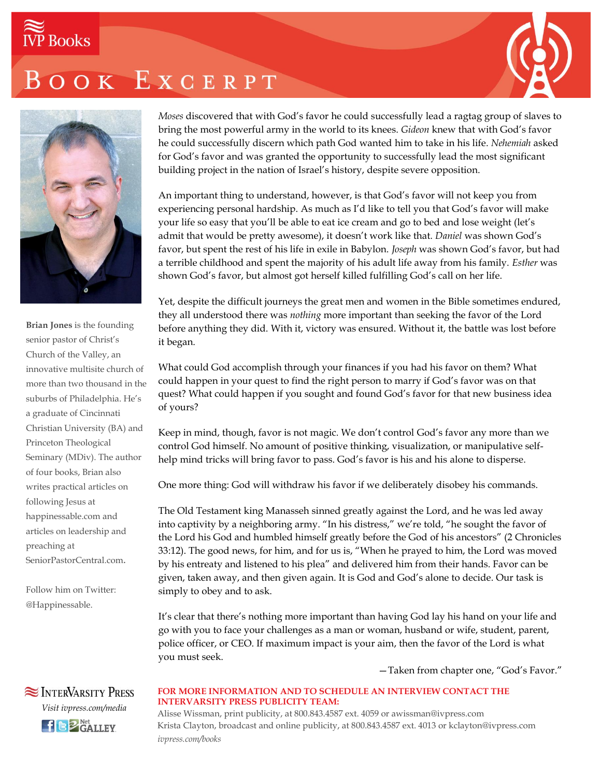# **IVP** Books

### OOK EXCERPT





**Brian Jones** is the founding senior pastor of Christ's Church of the Valley, an innovative multisite church of more than two thousand in the suburbs of Philadelphia. He's a graduate of Cincinnati Christian University (BA) and Princeton Theological Seminary (MDiv). The author of four books, Brian also writes practical articles on following Jesus at happinessable.com and articles on leadership and preaching at SeniorPastorCentral.com.

Follow him on Twitter: @Happinessable.

*Moses* discovered that with God's favor he could successfully lead a ragtag group of slaves to bring the most powerful army in the world to its knees. *Gideon* knew that with God's favor he could successfully discern which path God wanted him to take in his life. *Nehemiah* asked for God's favor and was granted the opportunity to successfully lead the most significant building project in the nation of Israel's history, despite severe opposition.

An important thing to understand, however, is that God's favor will not keep you from experiencing personal hardship. As much as I'd like to tell you that God's favor will make your life so easy that you'll be able to eat ice cream and go to bed and lose weight (let's admit that would be pretty awesome), it doesn't work like that. *Daniel* was shown God's favor, but spent the rest of his life in exile in Babylon. *Joseph* was shown God's favor, but had a terrible childhood and spent the majority of his adult life away from his family. *Esther* was shown God's favor, but almost got herself killed fulfilling God's call on her life.

Yet, despite the difficult journeys the great men and women in the Bible sometimes endured, they all understood there was *nothing* more important than seeking the favor of the Lord before anything they did. With it, victory was ensured. Without it, the battle was lost before it began.

What could God accomplish through your finances if you had his favor on them? What could happen in your quest to find the right person to marry if God's favor was on that quest? What could happen if you sought and found God's favor for that new business idea of yours?

Keep in mind, though, favor is not magic. We don't control God's favor any more than we control God himself. No amount of positive thinking, visualization, or manipulative selfhelp mind tricks will bring favor to pass. God's favor is his and his alone to disperse.

One more thing: God will withdraw his favor if we deliberately disobey his commands.

The Old Testament king Manasseh sinned greatly against the Lord, and he was led away into captivity by a neighboring army. "In his distress," we're told, "he sought the favor of the Lord his God and humbled himself greatly before the God of his ancestors" (2 Chronicles 33:12). The good news, for him, and for us is, "When he prayed to him, the Lord was moved by his entreaty and listened to his plea" and delivered him from their hands. Favor can be given, taken away, and then given again. It is God and God's alone to decide. Our task is simply to obey and to ask.

It's clear that there's nothing more important than having God lay his hand on your life and go with you to face your challenges as a man or woman, husband or wife, student, parent, police officer, or CEO. If maximum impact is your aim, then the favor of the Lord is what you must seek.

—Taken from chapter one, "God's Favor."

### **SEX INTERVARSITY PRESS** *Visit ivpress.com/media* **FEE B** GALLEY

#### **FOR MORE INFORMATION AND TO SCHEDULE AN INTERVIEW CONTACT THE INTERVARSITY PRESS PUBLICITY TEAM:**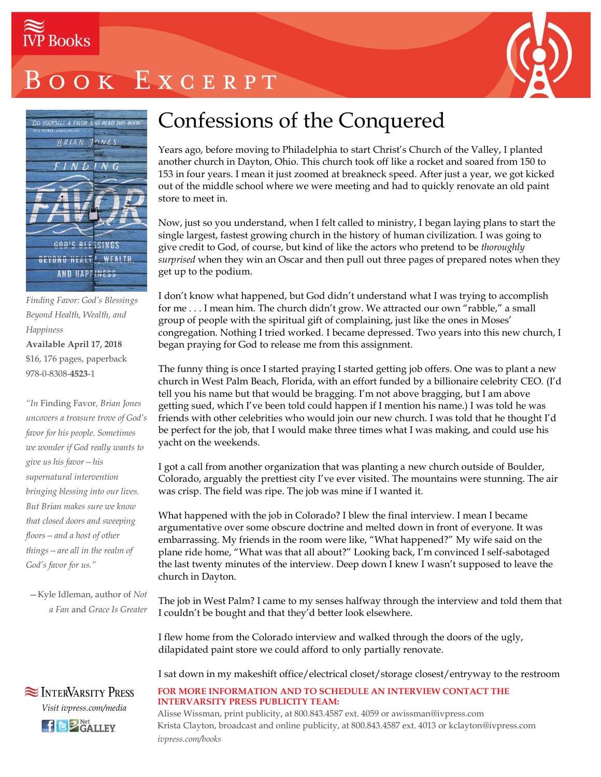

## OOK EXCERPT





*Finding Favor: God's Blessings Beyond Health, Wealth, and Happiness* **Available April 17, 2018**

\$16, 176 pages, paperback 978-0-8308-**4523**-1

*"In* Finding Favor*, Brian Jones uncovers a treasure trove of God's favor for his people. Sometimes we wonder if God really wants to give us his favor—his supernatural intervention bringing blessing into our lives. But Brian makes sure we know that closed doors and sweeping floors—and a host of other things—are all in the realm of God's favor for us."*

—Kyle Idleman, author of *Not a Fan* and *Grace Is Greater*



### Confessions of the Conquered

Years ago, before moving to Philadelphia to start Christ's Church of the Valley, I planted another church in Dayton, Ohio. This church took off like a rocket and soared from 150 to 153 in four years. I mean it just zoomed at breakneck speed. After just a year, we got kicked out of the middle school where we were meeting and had to quickly renovate an old paint store to meet in.

Now, just so you understand, when I felt called to ministry, I began laying plans to start the single largest, fastest growing church in the history of human civilization. I was going to give credit to God, of course, but kind of like the actors who pretend to be *thoroughly surprised* when they win an Oscar and then pull out three pages of prepared notes when they get up to the podium.

I don't know what happened, but God didn't understand what I was trying to accomplish for me . . . I mean him. The church didn't grow. We attracted our own "rabble," a small group of people with the spiritual gift of complaining, just like the ones in Moses' congregation. Nothing I tried worked. I became depressed. Two years into this new church, I began praying for God to release me from this assignment.

The funny thing is once I started praying I started getting job offers. One was to plant a new church in West Palm Beach, Florida, with an effort funded by a billionaire celebrity CEO. (I'd tell you his name but that would be bragging. I'm not above bragging, but I am above getting sued, which I've been told could happen if I mention his name.) I was told he was friends with other celebrities who would join our new church. I was told that he thought I'd be perfect for the job, that I would make three times what I was making, and could use his yacht on the weekends.

I got a call from another organization that was planting a new church outside of Boulder, Colorado, arguably the prettiest city I've ever visited. The mountains were stunning. The air was crisp. The field was ripe. The job was mine if I wanted it.

What happened with the job in Colorado? I blew the final interview. I mean I became argumentative over some obscure doctrine and melted down in front of everyone. It was embarrassing. My friends in the room were like, "What happened?" My wife said on the plane ride home, "What was that all about?" Looking back, I'm convinced I self-sabotaged the last twenty minutes of the interview. Deep down I knew I wasn't supposed to leave the church in Dayton.

The job in West Palm? I came to my senses halfway through the interview and told them that I couldn't be bought and that they'd better look elsewhere.

I flew home from the Colorado interview and walked through the doors of the ugly, dilapidated paint store we could afford to only partially renovate.

I sat down in my makeshift office/electrical closet/storage closest/entryway to the restroom

#### **FOR MORE INFORMATION AND TO SCHEDULE AN INTERVIEW CONTACT THE INTERVARSITY PRESS PUBLICITY TEAM:**